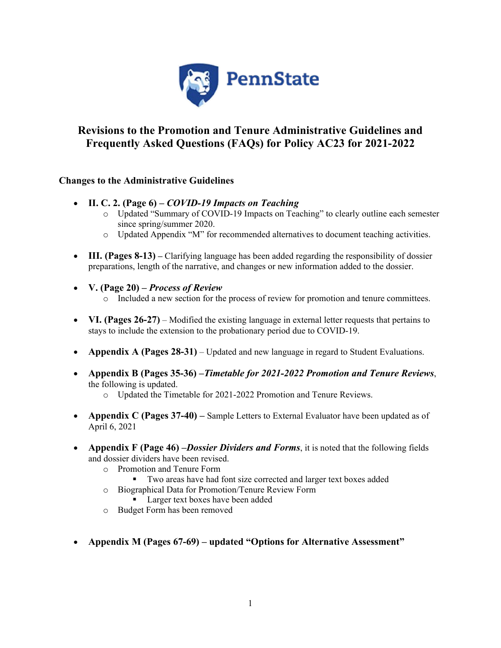

# **Revisions to the Promotion and Tenure Administrative Guidelines and Frequently Asked Questions (FAQs) for Policy AC23 for 2021-2022**

### **Changes to the Administrative Guidelines**

- **II. C. 2. (Page 6)** *COVID-19 Impacts on Teaching*
	- o Updated "Summary of COVID-19 Impacts on Teaching" to clearly outline each semester since spring/summer 2020.
	- o Updated Appendix "M" for recommended alternatives to document teaching activities.
- **III. (Pages 8-13)** Clarifying language has been added regarding the responsibility of dossier preparations, length of the narrative, and changes or new information added to the dossier.
- **V. (Page 20)** *Process of Review*
	- o Included a new section for the process of review for promotion and tenure committees.
- **VI. (Pages 26-27)** Modified the existing language in external letter requests that pertains to stays to include the extension to the probationary period due to COVID-19.
- **Appendix A (Pages 28-31)** Updated and new language in regard to Student Evaluations.
- **Appendix B (Pages 35-36) –***Timetable for 2021-2022 Promotion and Tenure Reviews*, the following is updated.
	- o Updated the Timetable for 2021-2022 Promotion and Tenure Reviews.
- **Appendix C (Pages 37-40)** Sample Letters to External Evaluator have been updated as of April 6, 2021
- **Appendix F (Page 46) –***Dossier Dividers and Forms*, it is noted that the following fields and dossier dividers have been revised.
	- o Promotion and Tenure Form
		- Two areas have had font size corrected and larger text boxes added
	- o Biographical Data for Promotion/Tenure Review Form
		- **Larger text boxes have been added**
	- o Budget Form has been removed
- **Appendix M (Pages 67-69) updated "Options for Alternative Assessment"**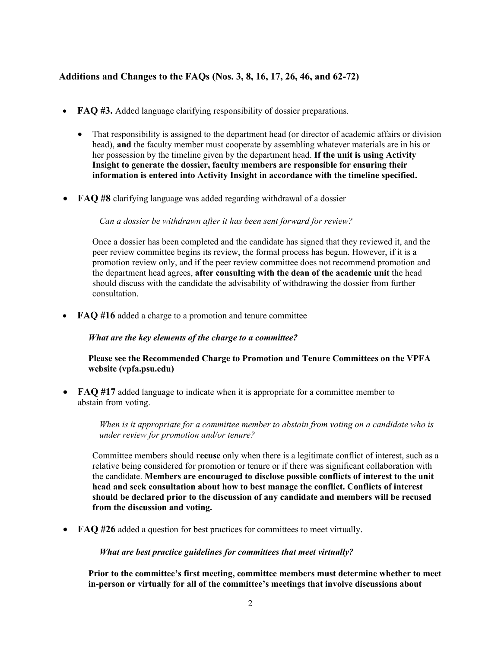## **Additions and Changes to the FAQs (Nos. 3, 8, 16, 17, 26, 46, and 62-72)**

- **FAQ #3.** Added language clarifying responsibility of dossier preparations.
	- That responsibility is assigned to the department head (or director of academic affairs or division head), **and** the faculty member must cooperate by assembling whatever materials are in his or her possession by the timeline given by the department head. **If the unit is using Activity Insight to generate the dossier, faculty members are responsible for ensuring their information is entered into Activity Insight in accordance with the timeline specified.**
- **FAQ #8** clarifying language was added regarding withdrawal of a dossier

*Can a dossier be withdrawn after it has been sent forward for review?*

Once a dossier has been completed and the candidate has signed that they reviewed it, and the peer review committee begins its review, the formal process has begun. However, if it is a promotion review only, and if the peer review committee does not recommend promotion and the department head agrees, **after consulting with the dean of the academic unit** the head should discuss with the candidate the advisability of withdrawing the dossier from further consultation.

• **FAQ #16** added a charge to a promotion and tenure committee

*What are the key elements of the charge to a committee?*

#### **Please see the Recommended Charge to Promotion and Tenure Committees on the VPFA website (vpfa.psu.edu)**

• **FAQ #17** added language to indicate when it is appropriate for a committee member to abstain from voting.

> *When is it appropriate for a committee member to abstain from voting on a candidate who is under review for promotion and/or tenure?*

Committee members should **recuse** only when there is a legitimate conflict of interest, such as a relative being considered for promotion or tenure or if there was significant collaboration with the candidate. **Members are encouraged to disclose possible conflicts of interest to the unit head and seek consultation about how to best manage the conflict. Conflicts of interest should be declared prior to the discussion of any candidate and members will be recused from the discussion and voting.**

• **FAQ #26** added a question for best practices for committees to meet virtually.

*What are best practice guidelines for committees that meet virtually?*

**Prior to the committee's first meeting, committee members must determine whether to meet in-person or virtually for all of the committee's meetings that involve discussions about**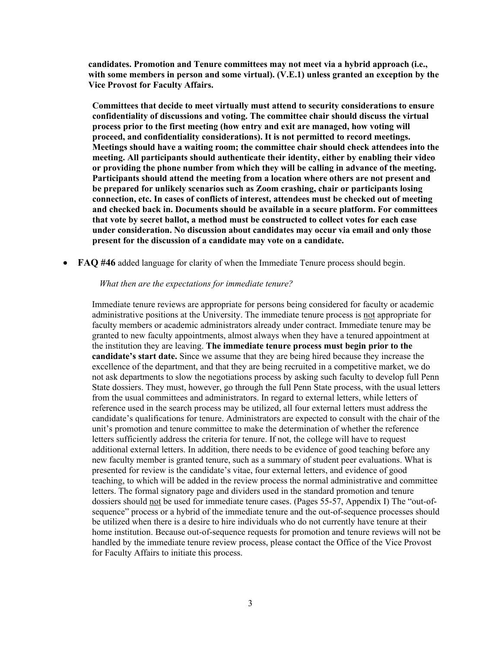**candidates. Promotion and Tenure committees may not meet via a hybrid approach (i.e., with some members in person and some virtual). (V.E.1) unless granted an exception by the Vice Provost for Faculty Affairs.**

**Committees that decide to meet virtually must attend to security considerations to ensure confidentiality of discussions and voting. The committee chair should discuss the virtual process prior to the first meeting (how entry and exit are managed, how voting will proceed, and confidentiality considerations). It is not permitted to record meetings. Meetings should have a waiting room; the committee chair should check attendees into the meeting. All participants should authenticate their identity, either by enabling their video or providing the phone number from which they will be calling in advance of the meeting. Participants should attend the meeting from a location where others are not present and be prepared for unlikely scenarios such as Zoom crashing, chair or participants losing connection, etc. In cases of conflicts of interest, attendees must be checked out of meeting and checked back in. Documents should be available in a secure platform. For committees that vote by secret ballot, a method must be constructed to collect votes for each case under consideration. No discussion about candidates may occur via email and only those present for the discussion of a candidate may vote on a candidate.**

• **FAQ #46** added language for clarity of when the Immediate Tenure process should begin.

#### *What then are the expectations for immediate tenure?*

Immediate tenure reviews are appropriate for persons being considered for faculty or academic administrative positions at the University. The immediate tenure process is not appropriate for faculty members or academic administrators already under contract. Immediate tenure may be granted to new faculty appointments, almost always when they have a tenured appointment at the institution they are leaving. **The immediate tenure process must begin prior to the candidate's start date.** Since we assume that they are being hired because they increase the excellence of the department, and that they are being recruited in a competitive market, we do not ask departments to slow the negotiations process by asking such faculty to develop full Penn State dossiers. They must, however, go through the full Penn State process, with the usual letters from the usual committees and administrators. In regard to external letters, while letters of reference used in the search process may be utilized, all four external letters must address the candidate's qualifications for tenure. Administrators are expected to consult with the chair of the unit's promotion and tenure committee to make the determination of whether the reference letters sufficiently address the criteria for tenure. If not, the college will have to request additional external letters. In addition, there needs to be evidence of good teaching before any new faculty member is granted tenure, such as a summary of student peer evaluations. What is presented for review is the candidate's vitae, four external letters, and evidence of good teaching, to which will be added in the review process the normal administrative and committee letters. The formal signatory page and dividers used in the standard promotion and tenure dossiers should not be used for immediate tenure cases. (Pages 55-57, Appendix I) The "out-ofsequence" process or a hybrid of the immediate tenure and the out-of-sequence processes should be utilized when there is a desire to hire individuals who do not currently have tenure at their home institution. Because out-of-sequence requests for promotion and tenure reviews will not be handled by the immediate tenure review process, please contact the Office of the Vice Provost for Faculty Affairs to initiate this process.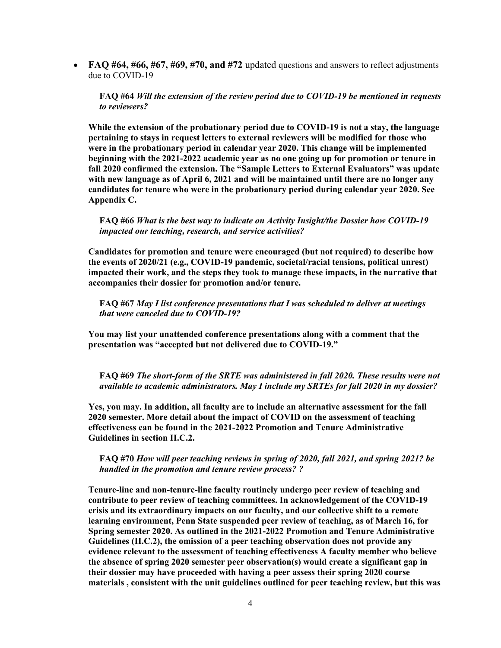• **FAQ #64, #66, #67, #69, #70, and #72** updated questions and answers to reflect adjustments due to COVID-19

**FAQ #64** *Will the extension of the review period due to COVID-19 be mentioned in requests to reviewers?*

**While the extension of the probationary period due to COVID-19 is not a stay, the language pertaining to stays in request letters to external reviewers will be modified for those who were in the probationary period in calendar year 2020. This change will be implemented beginning with the 2021-2022 academic year as no one going up for promotion or tenure in fall 2020 confirmed the extension. The "Sample Letters to External Evaluators" was update with new language as of April 6, 2021 and will be maintained until there are no longer any candidates for tenure who were in the probationary period during calendar year 2020. See Appendix C.** 

**FAQ #66** *What is the best way to indicate on Activity Insight/the Dossier how COVID-19 impacted our teaching, research, and service activities?*

**Candidates for promotion and tenure were encouraged (but not required) to describe how the events of 2020/21 (e.g., COVID-19 pandemic, societal/racial tensions, political unrest) impacted their work, and the steps they took to manage these impacts, in the narrative that accompanies their dossier for promotion and/or tenure.** 

**FAQ #67** *May I list conference presentations that I was scheduled to deliver at meetings that were canceled due to COVID-19?*

**You may list your unattended conference presentations along with a comment that the presentation was "accepted but not delivered due to COVID-19."**

**FAQ #69** *The short-form of the SRTE was administered in fall 2020. These results were not available to academic administrators. May I include my SRTEs for fall 2020 in my dossier?*

**Yes, you may. In addition, all faculty are to include an alternative assessment for the fall 2020 semester. More detail about the impact of COVID on the assessment of teaching effectiveness can be found in the 2021-2022 Promotion and Tenure Administrative Guidelines in section II.C.2.**

**FAQ #70** *How will peer teaching reviews in spring of 2020, fall 2021, and spring 2021? be handled in the promotion and tenure review process? ?*

**Tenure-line and non-tenure-line faculty routinely undergo peer review of teaching and contribute to peer review of teaching committees. In acknowledgement of the COVID-19 crisis and its extraordinary impacts on our faculty, and our collective shift to a remote learning environment, Penn State suspended peer review of teaching, as of March 16, for Spring semester 2020. As outlined in the 2021-2022 Promotion and Tenure Administrative Guidelines (II.C.2), the omission of a peer teaching observation does not provide any evidence relevant to the assessment of teaching effectiveness A faculty member who believe the absence of spring 2020 semester peer observation(s) would create a significant gap in their dossier may have proceeded with having a peer assess their spring 2020 course materials , consistent with the unit guidelines outlined for peer teaching review, but this was**